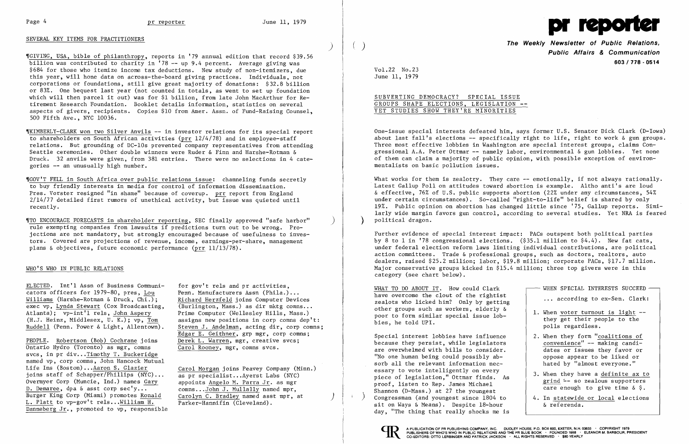#### SEVERAL KEY ITEMS FOR PRACTITIONERS

)

,rGIVING, USA, bible of philanthropy, reports in 179 annual edition that record \$39.56 billion was contributed to charity in 178 -- up 9.4 percent. Average giving was \$684 for those who itemize income tax deductions. New study of non-itemizers, due this year, will hone data on across-the-board giving practices. Individuals, not corporations or foundations, still give great majority of donations: \$32.8 billion or 83%. One bequest last year (not counted in totals, as went to set up foundation which will then parcel it out) was for \$1 billion, from late John MacArthur for Retirement Research Foundation. Booklet details information, statistics on several aspects of givers, recipients. Copies \$10 from Amer. Assn. of Fund-Raising Counsel, 500 Fifth Ave., NYC 10036.

'[TO ENCOURAGE FORECASTS in shareho 1der reporting, SEC finally approved "safe harbor" ) rule exempting companies from lawsuits if predictions turn out to be wrong. Projections are not mandatory, but strongly encouraged because of usefulness to investors. Covered are projections of revenue, income, earnings-per-share, management plans  $\&$  objectives, future economic performance (prr  $11/13/78$ ).

#### WHO'S WHO IN PUBLIC RELATIONS

<u>ELECTED</u>. Int'l Assn of Business Communi-<br>cators officers for 1979-80, pres, Lou Penn. Manufacturers Assn (Phila.)... cators officers for 1979-80, pres,  $\underline{\text{Lou}}$ <br>Williams (Harshe-Rotman & Druck, Chi.); exec vp, Lynda Stewart (Cox Broadcasting, (Burlington, Mass.) as dir mktg comns...<br>Atlanta); vp-int'l rels, John Aspery Prime Computer (Wellesley Hills, Mass.) Atlanta); vp-int'l rels, John Aspery<br>(H.J. Heinz, Middlesex, U. K.); vp, Tom assigns new positions in corp comns dep' Ruddell (Penn. Power & Light, Allentown).

'IKIMBERLY-CLARK won two Silver Anvils -- in investor relations for its special report to shareholders on South African activities (prr  $12/4/78$ ) and in employee-staff relations. But grounding of DC-lOs prevented company representatives from attending Seattle ceremonies. Other double winners were Ruder & Finn and Harshe-Rotman & Druck. 32 anvils were given, from 381 entries. There were no selections in 4 categories -- an unusually high number.

> Richard Herzfeld joins Computer Devices assigns new positions in corp comns dep't:<br>Steven J. Andelman, acting dir, corp comns; Edgar E. Geithner, grp mgr, corp comns;

appoints Angelo M. Parra Jr. as mgr comns...John J. Mullally named mpr. Carolyn C. Bradley named asst mpr, at Parker-Hannifin (Cleveland).

,\GOV 1T FELL in South Africa over public relations issue: channeling funds secretly to buy friendly interests in media for control of information dissemination. Pres. Vorster resigned "in shame" because of coverup. prr report from England 2/14/77 detailed first rumors of unethical activity, but issue was quieted until recently.

PEOPLE. Robertson (Bob) Cochrane joins Derek L. Warren, mgr, creative svcs;<br>Ontario Hydro (Toronto) as mgr, comns Carol Rooney, mgr, comns svcs.  $\overline{0}$ ntario Hydro (Toronto) as mgr, comns svcs, in pr div...Timothy T. Buckeridge named vp, corp comns, John Hancock Mutual Life Ins (Boston)...<u>Aaron S. Glazier</u> (Carol Morgan joins Peavey Company (Minn.)<br>joins staff of Schapper/Phillips (NYC)... as pr specialist...Averst Labs (NYC) joins staff of Schapper/Phillips (NYC)... as pr specialist...Ayerst Labs (NYC) Overmyer Corp (Muncie, Ind.) names Gary D. Demaree, dpa & asst corp sec'y...<br>Burger King Corp (Miami) promotes Ronald L. Platt to vp-gov't rels... William H. Danneberg Jr., promoted to vp, responsible

**The Weekly Newsletter of Public Relations, Public Affairs & Communication 603/778·0514** 

SUBVERTING DEMOCRACY? SPECIAL ISSUE GROUPS SHAPE ELECTIONS, LEGISLATION --YET STUDIES SHOW THEY'RE MINORITIES

What works for them is zealotry. They care  $-$  emotionally, if not always rationally. Latest Gallup Poll on attitudes toward abortion is example. Altho anti's are loud & effective, 76% of U.S. public supports abortion (22% under any circumstances, 54% under certain circumstances). So-called "right-to-life" belief is shared by only 19%. Public opinion on abortion has changed little since '75, Gallup reports. Similarly wide margin favors gun control, according to several studies. Yet NRA is feared ) political dragon.

Special interest lobbies have influence  $\begin{array}{|l|l|} \hline \end{array}$  2. When they form "coalitions of because they persist, while legislators  $\begin{array}{|l|} \hline \end{array}$  convenience" -- making candibecause they persist, while legislators are overwhelmed with bills to consider.<br>"No one human being could possibly ab-<br>popose appear to be liked or "No one human being could possibly ab-<br>sorb all the relevant information nec-<br>hated by "almost everyone." sorb all the relevant information necessary to vote intelligently on every<br>piece of legislation," Ottmar finds. As<br>proof, listen to Rep. James Michael are enough to give time  $\&$  \$. proof, IIsten to kep. James Michael and the care enough to give time & \$.<br>Shannon (D-Mass.) at 27 the youngest \ Congressman (and youngest since 1804 to sit on Ways & Means). Despite 18-hour | & referenda. day, "The thing that really shocks me is



İ,



Vo1.22 No.23 June 11, 1979

One-issue special interests defeated him, says former U.S. Senator Dick Clark (D-Iowa) about last fall's elections  $--$  specifically right to life, right to work  $\&$  gun groups. Three most effective lobbies in Washington are special interest groups, claims Congressional A.A. Peter Ottmar -- namely labor, environmental & gun lobbies. Yet none of them can claim a majority of public opinion, with possible exception of environmentalists on basic pollution issues.

Further evidence of special interest impact: PACs outspent both political parties by 8 to 1 in 178 congressional elections. (\$35.1 million to \$4.4). New fat cats, under federal election reform laws limiting individual contributions, are political action committees. Trade & professional groups, such as doctors, realtors, auto dealers, raised \$25.2 million; labor, \$19.8 million; corporate PACs, \$17.7 million. Major conservative groups kicked in \$15.4 million; three top givers were in this category (see chart below).

WHAT TO DO ABOUT IT. How could Clark  $\Box$  WHEN SPECIAL INTERESTS SUCCEED  $\Box$ have overcome the clout of the rightist  $\begin{array}{ccc} \cdot & \cdot & \cdot \\ \cdot & \cdot & \cdot & \cdot \\ \cdot & \cdot & \cdot & \cdot \\ \cdot & \cdot & \cdot & \cdot \\ \cdot & \cdot & \cdot & \cdot \end{array}$  according to ex-Sen. Clark: other groups such as workers, elderly  $\&$  1. When voter turnout is light --<br>poor to form similar special issue lob-<br>bies, he told UPI. polls regardless.

)

4. In statewide or local elections